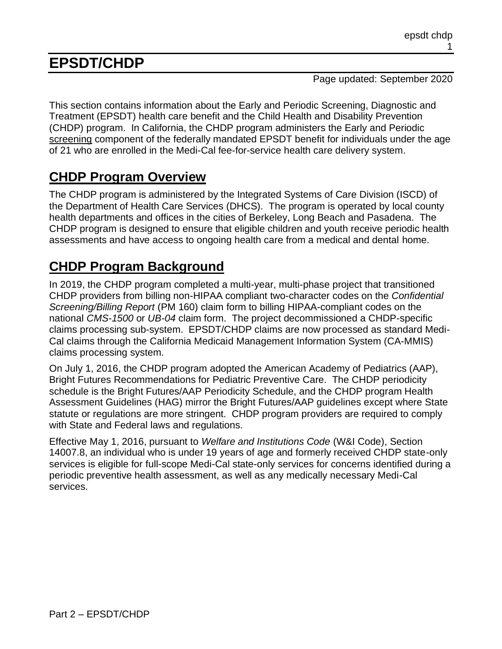# **EPSDT/CHDP**

Page updated: September 2020

This section contains information about the Early and Periodic Screening, Diagnostic and Treatment (EPSDT) health care benefit and the Child Health and Disability Prevention (CHDP) program. In California, the CHDP program administers the Early and Periodic screening component of the federally mandated EPSDT benefit for individuals under the age of 21 who are enrolled in the Medi-Cal fee-for-service health care delivery system.

# **CHDP Program Overview**

The CHDP program is administered by the Integrated Systems of Care Division (ISCD) of the Department of Health Care Services (DHCS). The program is operated by local county health departments and offices in the cities of Berkeley, Long Beach and Pasadena. The CHDP program is designed to ensure that eligible children and youth receive periodic health assessments and have access to ongoing health care from a medical and dental home.

# **CHDP Program Background**

In 2019, the CHDP program completed a multi-year, multi-phase project that transitioned CHDP providers from billing non-HIPAA compliant two-character codes on the *Confidential Screening/Billing Report* (PM 160) claim form to billing HIPAA-compliant codes on the national *CMS-1500* or *UB-04* claim form. The project decommissioned a CHDP-specific claims processing sub-system. EPSDT/CHDP claims are now processed as standard Medi-Cal claims through the California Medicaid Management Information System (CA-MMIS) claims processing system.

On July 1, 2016, the CHDP program adopted the American Academy of Pediatrics (AAP), Bright Futures Recommendations for Pediatric Preventive Care. The CHDP periodicity schedule is the Bright Futures/AAP Periodicity Schedule, and the CHDP program Health Assessment Guidelines (HAG) mirror the Bright Futures/AAP guidelines except where State statute or regulations are more stringent. CHDP program providers are required to comply with State and Federal laws and regulations.

Effective May 1, 2016, pursuant to *Welfare and Institutions Code* (W&I Code), Section 14007.8, an individual who is under 19 years of age and formerly received CHDP state-only services is eligible for full-scope Medi-Cal state-only services for concerns identified during a periodic preventive health assessment, as well as any medically necessary Medi-Cal services.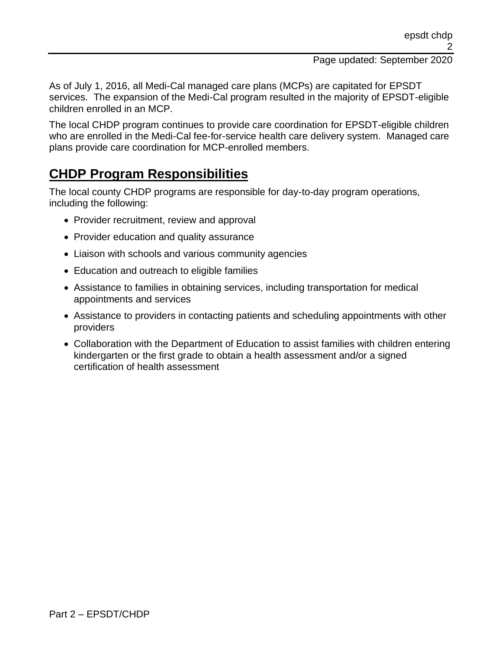As of July 1, 2016, all Medi-Cal managed care plans (MCPs) are capitated for EPSDT services. The expansion of the Medi-Cal program resulted in the majority of EPSDT-eligible children enrolled in an MCP.

The local CHDP program continues to provide care coordination for EPSDT-eligible children who are enrolled in the Medi-Cal fee-for-service health care delivery system. Managed care plans provide care coordination for MCP-enrolled members.

# **CHDP Program Responsibilities**

The local county CHDP programs are responsible for day-to-day program operations, including the following:

- Provider recruitment, review and approval
- Provider education and quality assurance
- Liaison with schools and various community agencies
- Education and outreach to eligible families
- Assistance to families in obtaining services, including transportation for medical appointments and services
- Assistance to providers in contacting patients and scheduling appointments with other providers
- Collaboration with the Department of Education to assist families with children entering kindergarten or the first grade to obtain a health assessment and/or a signed certification of health assessment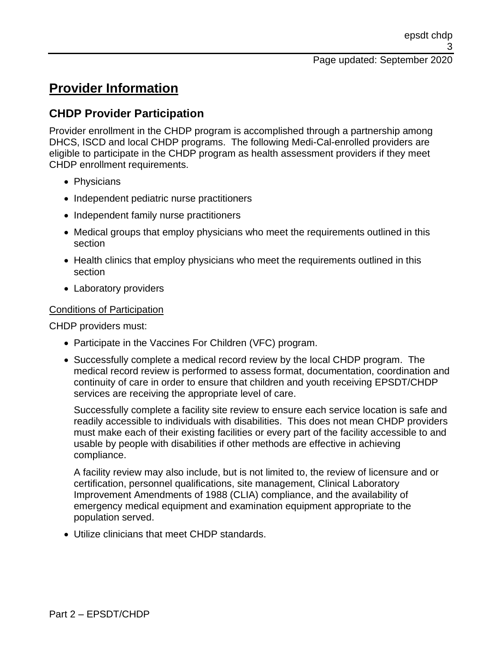# **Provider Information**

## **CHDP Provider Participation**

Provider enrollment in the CHDP program is accomplished through a partnership among DHCS, ISCD and local CHDP programs. The following Medi-Cal-enrolled providers are eligible to participate in the CHDP program as health assessment providers if they meet CHDP enrollment requirements.

- Physicians
- Independent pediatric nurse practitioners
- Independent family nurse practitioners
- Medical groups that employ physicians who meet the requirements outlined in this section
- Health clinics that employ physicians who meet the requirements outlined in this section
- Laboratory providers

### Conditions of Participation

CHDP providers must:

- Participate in the Vaccines For Children (VFC) program.
- Successfully complete a medical record review by the local CHDP program. The medical record review is performed to assess format, documentation, coordination and continuity of care in order to ensure that children and youth receiving EPSDT/CHDP services are receiving the appropriate level of care.

Successfully complete a facility site review to ensure each service location is safe and readily accessible to individuals with disabilities. This does not mean CHDP providers must make each of their existing facilities or every part of the facility accessible to and usable by people with disabilities if other methods are effective in achieving compliance.

A facility review may also include, but is not limited to, the review of licensure and or certification, personnel qualifications, site management, Clinical Laboratory Improvement Amendments of 1988 (CLIA) compliance, and the availability of emergency medical equipment and examination equipment appropriate to the population served.

• Utilize clinicians that meet CHDP standards.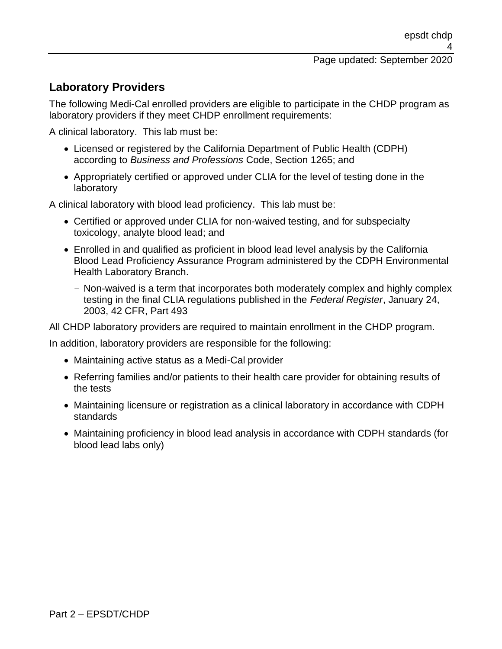## **Laboratory Providers**

The following Medi-Cal enrolled providers are eligible to participate in the CHDP program as laboratory providers if they meet CHDP enrollment requirements:

A clinical laboratory. This lab must be:

- Licensed or registered by the California Department of Public Health (CDPH) according to *Business and Professions* Code, Section 1265; and
- Appropriately certified or approved under CLIA for the level of testing done in the laboratory

A clinical laboratory with blood lead proficiency. This lab must be:

- Certified or approved under CLIA for non-waived testing, and for subspecialty toxicology, analyte blood lead; and
- Enrolled in and qualified as proficient in blood lead level analysis by the California Blood Lead Proficiency Assurance Program administered by the CDPH Environmental Health Laboratory Branch.
	- Non-waived is a term that incorporates both moderately complex and highly complex testing in the final CLIA regulations published in the *Federal Register*, January 24, 2003, 42 CFR, Part 493

All CHDP laboratory providers are required to maintain enrollment in the CHDP program.

In addition, laboratory providers are responsible for the following:

- Maintaining active status as a Medi-Cal provider
- Referring families and/or patients to their health care provider for obtaining results of the tests
- Maintaining licensure or registration as a clinical laboratory in accordance with CDPH standards
- Maintaining proficiency in blood lead analysis in accordance with CDPH standards (for blood lead labs only)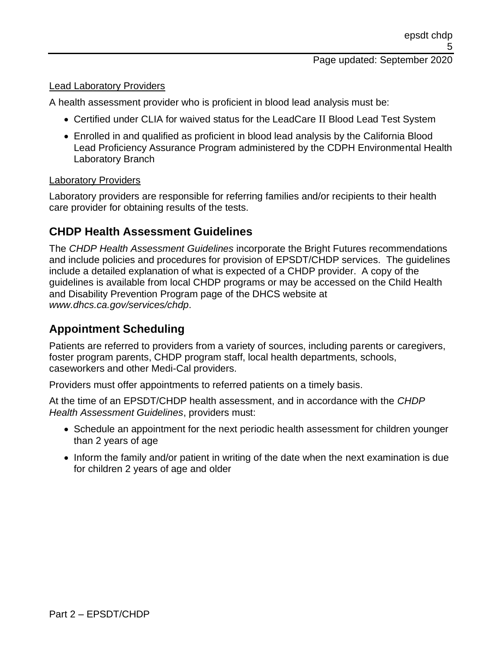#### Lead Laboratory Providers

A health assessment provider who is proficient in blood lead analysis must be:

- Certified under CLIA for waived status for the LeadCare II Blood Lead Test System
- Enrolled in and qualified as proficient in blood lead analysis by the California Blood Lead Proficiency Assurance Program administered by the CDPH Environmental Health Laboratory Branch

#### Laboratory Providers

Laboratory providers are responsible for referring families and/or recipients to their health care provider for obtaining results of the tests.

### **CHDP Health Assessment Guidelines**

The *CHDP Health Assessment Guidelines* incorporate the Bright Futures recommendations and include policies and procedures for provision of EPSDT/CHDP services. The guidelines include a detailed explanation of what is expected of a CHDP provider. A copy of the guidelines is available from local CHDP programs or may be accessed on the Child Health and Disability Prevention Program page of the DHCS website at *www.dhcs.ca.gov/services/chdp*.

## **Appointment Scheduling**

Patients are referred to providers from a variety of sources, including parents or caregivers, foster program parents, CHDP program staff, local health departments, schools, caseworkers and other Medi-Cal providers.

Providers must offer appointments to referred patients on a timely basis.

At the time of an EPSDT/CHDP health assessment, and in accordance with the *CHDP Health Assessment Guidelines*, providers must:

- Schedule an appointment for the next periodic health assessment for children younger than 2 years of age
- Inform the family and/or patient in writing of the date when the next examination is due for children 2 years of age and older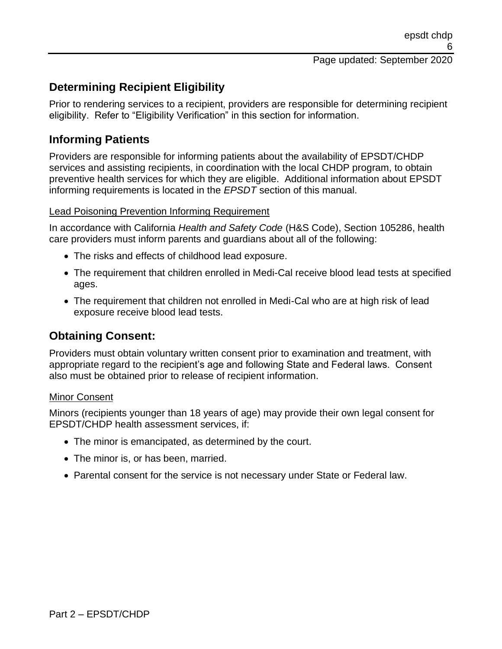## **Determining Recipient Eligibility**

Prior to rendering services to a recipient, providers are responsible for determining recipient eligibility. Refer to "Eligibility Verification" in this section for information.

## **Informing Patients**

Providers are responsible for informing patients about the availability of EPSDT/CHDP services and assisting recipients, in coordination with the local CHDP program, to obtain preventive health services for which they are eligible. Additional information about EPSDT informing requirements is located in the *EPSDT* section of this manual.

### Lead Poisoning Prevention Informing Requirement

In accordance with California *Health and Safety Code* (H&S Code), Section 105286, health care providers must inform parents and guardians about all of the following:

- The risks and effects of childhood lead exposure.
- The requirement that children enrolled in Medi-Cal receive blood lead tests at specified ages.
- The requirement that children not enrolled in Medi-Cal who are at high risk of lead exposure receive blood lead tests.

## **Obtaining Consent:**

Providers must obtain voluntary written consent prior to examination and treatment, with appropriate regard to the recipient's age and following State and Federal laws. Consent also must be obtained prior to release of recipient information.

#### Minor Consent

Minors (recipients younger than 18 years of age) may provide their own legal consent for EPSDT/CHDP health assessment services, if:

- The minor is emancipated, as determined by the court.
- The minor is, or has been, married.
- Parental consent for the service is not necessary under State or Federal law.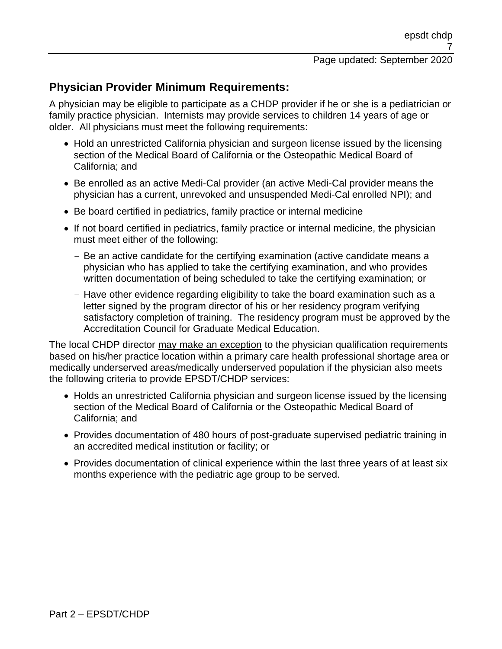## **Physician Provider Minimum Requirements:**

A physician may be eligible to participate as a CHDP provider if he or she is a pediatrician or family practice physician. Internists may provide services to children 14 years of age or older. All physicians must meet the following requirements:

- Hold an unrestricted California physician and surgeon license issued by the licensing section of the Medical Board of California or the Osteopathic Medical Board of California; and
- Be enrolled as an active Medi-Cal provider (an active Medi-Cal provider means the physician has a current, unrevoked and unsuspended Medi-Cal enrolled NPI); and
- Be board certified in pediatrics, family practice or internal medicine
- If not board certified in pediatrics, family practice or internal medicine, the physician must meet either of the following:
	- Be an active candidate for the certifying examination (active candidate means a physician who has applied to take the certifying examination, and who provides written documentation of being scheduled to take the certifying examination; or
	- Have other evidence regarding eligibility to take the board examination such as a letter signed by the program director of his or her residency program verifying satisfactory completion of training. The residency program must be approved by the Accreditation Council for Graduate Medical Education.

The local CHDP director may make an exception to the physician qualification requirements based on his/her practice location within a primary care health professional shortage area or medically underserved areas/medically underserved population if the physician also meets the following criteria to provide EPSDT/CHDP services:

- Holds an unrestricted California physician and surgeon license issued by the licensing section of the Medical Board of California or the Osteopathic Medical Board of California; and
- Provides documentation of 480 hours of post-graduate supervised pediatric training in an accredited medical institution or facility; or
- Provides documentation of clinical experience within the last three years of at least six months experience with the pediatric age group to be served.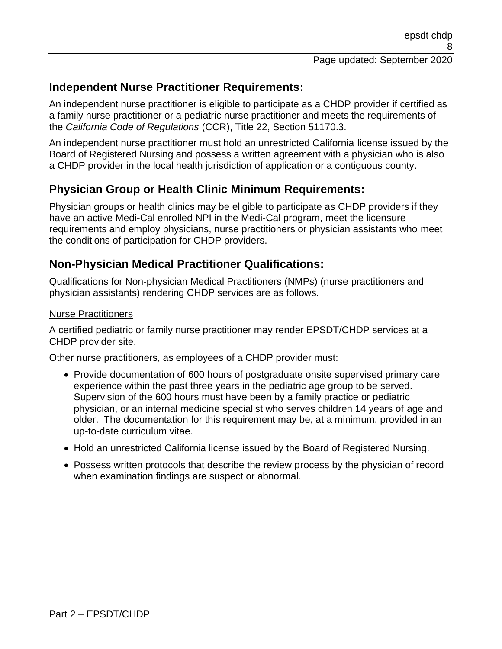## **Independent Nurse Practitioner Requirements:**

An independent nurse practitioner is eligible to participate as a CHDP provider if certified as a family nurse practitioner or a pediatric nurse practitioner and meets the requirements of the *California Code of Regulations* (CCR), Title 22, Section 51170.3.

An independent nurse practitioner must hold an unrestricted California license issued by the Board of Registered Nursing and possess a written agreement with a physician who is also a CHDP provider in the local health jurisdiction of application or a contiguous county.

## **Physician Group or Health Clinic Minimum Requirements:**

Physician groups or health clinics may be eligible to participate as CHDP providers if they have an active Medi-Cal enrolled NPI in the Medi-Cal program, meet the licensure requirements and employ physicians, nurse practitioners or physician assistants who meet the conditions of participation for CHDP providers.

### **Non-Physician Medical Practitioner Qualifications:**

Qualifications for Non-physician Medical Practitioners (NMPs) (nurse practitioners and physician assistants) rendering CHDP services are as follows.

### Nurse Practitioners

A certified pediatric or family nurse practitioner may render EPSDT/CHDP services at a CHDP provider site.

Other nurse practitioners, as employees of a CHDP provider must:

- Provide documentation of 600 hours of postgraduate onsite supervised primary care experience within the past three years in the pediatric age group to be served. Supervision of the 600 hours must have been by a family practice or pediatric physician, or an internal medicine specialist who serves children 14 years of age and older. The documentation for this requirement may be, at a minimum, provided in an up-to-date curriculum vitae.
- Hold an unrestricted California license issued by the Board of Registered Nursing.
- Possess written protocols that describe the review process by the physician of record when examination findings are suspect or abnormal.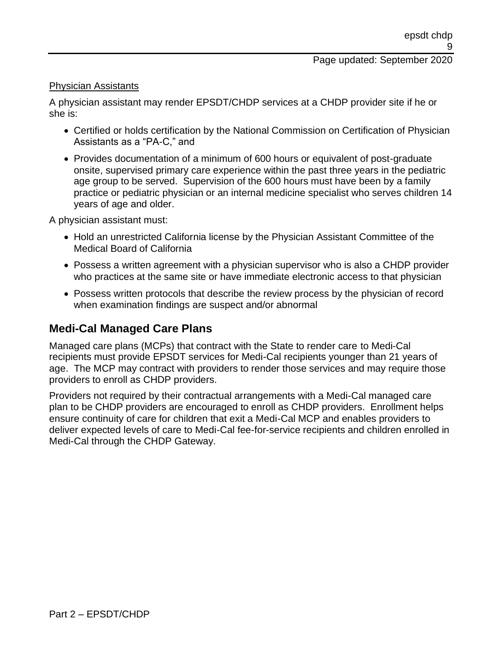#### Physician Assistants

A physician assistant may render EPSDT/CHDP services at a CHDP provider site if he or she is:

- Certified or holds certification by the National Commission on Certification of Physician Assistants as a "PA-C," and
- Provides documentation of a minimum of 600 hours or equivalent of post-graduate onsite, supervised primary care experience within the past three years in the pediatric age group to be served. Supervision of the 600 hours must have been by a family practice or pediatric physician or an internal medicine specialist who serves children 14 years of age and older.

A physician assistant must:

- Hold an unrestricted California license by the Physician Assistant Committee of the Medical Board of California
- Possess a written agreement with a physician supervisor who is also a CHDP provider who practices at the same site or have immediate electronic access to that physician
- Possess written protocols that describe the review process by the physician of record when examination findings are suspect and/or abnormal

### **Medi-Cal Managed Care Plans**

Managed care plans (MCPs) that contract with the State to render care to Medi-Cal recipients must provide EPSDT services for Medi-Cal recipients younger than 21 years of age. The MCP may contract with providers to render those services and may require those providers to enroll as CHDP providers.

Providers not required by their contractual arrangements with a Medi-Cal managed care plan to be CHDP providers are encouraged to enroll as CHDP providers. Enrollment helps ensure continuity of care for children that exit a Medi-Cal MCP and enables providers to deliver expected levels of care to Medi-Cal fee-for-service recipients and children enrolled in Medi-Cal through the CHDP Gateway.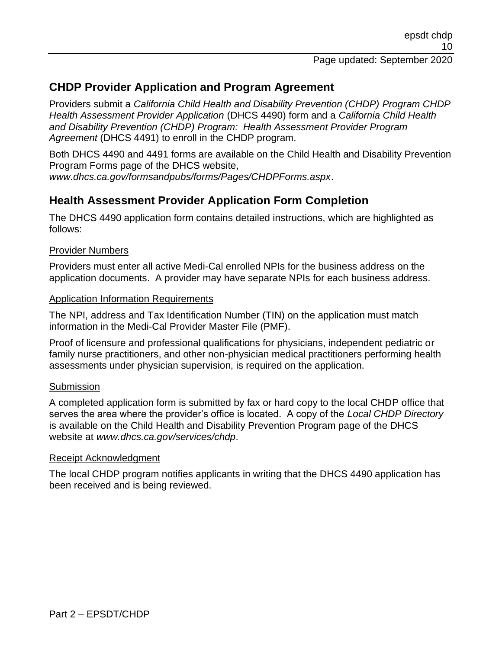## **CHDP Provider Application and Program Agreement**

Providers submit a *California Child Health and Disability Prevention (CHDP) Program CHDP Health Assessment Provider Application* (DHCS 4490) form and a *California Child Health and Disability Prevention (CHDP) Program: Health Assessment Provider Program Agreement* (DHCS 4491) to enroll in the CHDP program.

Both DHCS 4490 and 4491 forms are available on the Child Health and Disability Prevention Program Forms page of the DHCS website,

*www.dhcs.ca.gov/formsandpubs/forms/Pages/CHDPForms.aspx*.

### **Health Assessment Provider Application Form Completion**

The DHCS 4490 application form contains detailed instructions, which are highlighted as follows:

#### Provider Numbers

Providers must enter all active Medi-Cal enrolled NPIs for the business address on the application documents. A provider may have separate NPIs for each business address.

#### Application Information Requirements

The NPI, address and Tax Identification Number (TIN) on the application must match information in the Medi-Cal Provider Master File (PMF).

Proof of licensure and professional qualifications for physicians, independent pediatric or family nurse practitioners, and other non-physician medical practitioners performing health assessments under physician supervision, is required on the application.

#### **Submission**

A completed application form is submitted by fax or hard copy to the local CHDP office that serves the area where the provider's office is located. A copy of the *Local CHDP Directory* is available on the Child Health and Disability Prevention Program page of the DHCS website at *www.dhcs.ca.gov/services/chdp*.

#### Receipt Acknowledgment

The local CHDP program notifies applicants in writing that the DHCS 4490 application has been received and is being reviewed.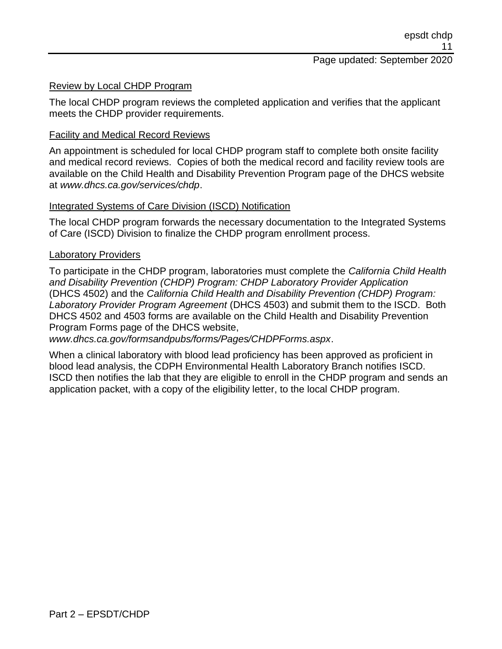#### Review by Local CHDP Program

The local CHDP program reviews the completed application and verifies that the applicant meets the CHDP provider requirements.

### Facility and Medical Record Reviews

An appointment is scheduled for local CHDP program staff to complete both onsite facility and medical record reviews. Copies of both the medical record and facility review tools are available on the Child Health and Disability Prevention Program page of the DHCS website at *www.dhcs.ca.gov/services/chdp*.

### Integrated Systems of Care Division (ISCD) Notification

The local CHDP program forwards the necessary documentation to the Integrated Systems of Care (ISCD) Division to finalize the CHDP program enrollment process.

#### Laboratory Providers

To participate in the CHDP program, laboratories must complete the *California Child Health and Disability Prevention (CHDP) Program: CHDP Laboratory Provider Application* (DHCS 4502) and the *California Child Health and Disability Prevention (CHDP) Program: Laboratory Provider Program Agreement* (DHCS 4503) and submit them to the ISCD. Both DHCS 4502 and 4503 forms are available on the Child Health and Disability Prevention Program Forms page of the DHCS website,

*www.dhcs.ca.gov/formsandpubs/forms/Pages/CHDPForms.aspx*.

When a clinical laboratory with blood lead proficiency has been approved as proficient in blood lead analysis, the CDPH Environmental Health Laboratory Branch notifies ISCD. ISCD then notifies the lab that they are eligible to enroll in the CHDP program and sends an application packet, with a copy of the eligibility letter, to the local CHDP program.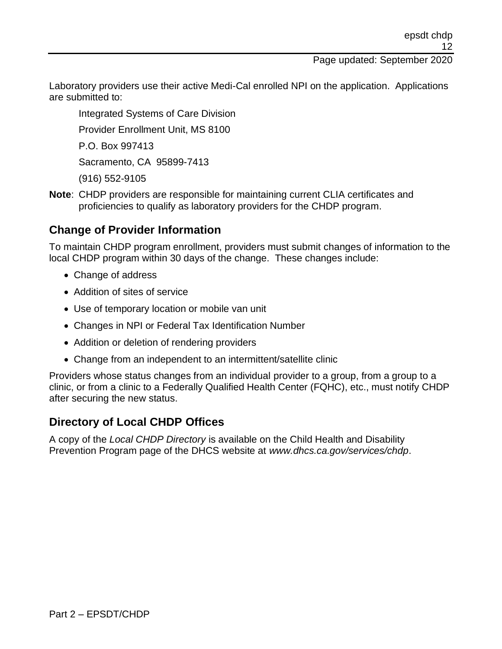Laboratory providers use their active Medi-Cal enrolled NPI on the application. Applications are submitted to:

Integrated Systems of Care Division

Provider Enrollment Unit, MS 8100

P.O. Box 997413

Sacramento, CA 95899-7413

(916) 552-9105

**Note**: CHDP providers are responsible for maintaining current CLIA certificates and proficiencies to qualify as laboratory providers for the CHDP program.

### **Change of Provider Information**

To maintain CHDP program enrollment, providers must submit changes of information to the local CHDP program within 30 days of the change. These changes include:

- Change of address
- Addition of sites of service
- Use of temporary location or mobile van unit
- Changes in NPI or Federal Tax Identification Number
- Addition or deletion of rendering providers
- Change from an independent to an intermittent/satellite clinic

Providers whose status changes from an individual provider to a group, from a group to a clinic, or from a clinic to a Federally Qualified Health Center (FQHC), etc., must notify CHDP after securing the new status.

### **Directory of Local CHDP Offices**

A copy of the *Local CHDP Directory* is available on the Child Health and Disability Prevention Program page of the DHCS website at *www.dhcs.ca.gov/services/chdp*.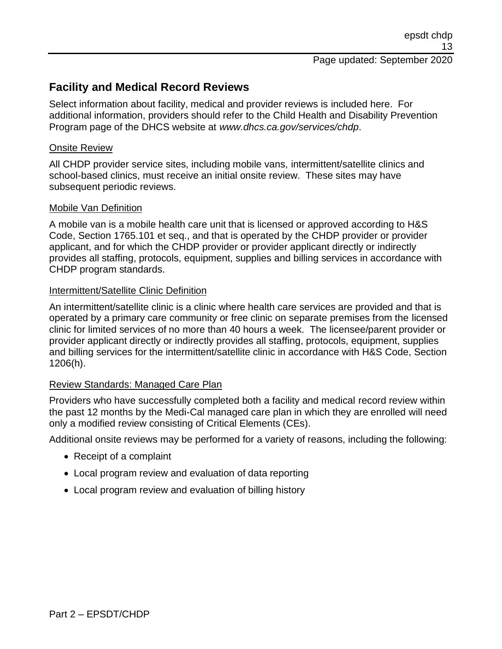## **Facility and Medical Record Reviews**

Select information about facility, medical and provider reviews is included here. For additional information, providers should refer to the Child Health and Disability Prevention Program page of the DHCS website at *www.dhcs.ca.gov/services/chdp*.

#### Onsite Review

All CHDP provider service sites, including mobile vans, intermittent/satellite clinics and school-based clinics, must receive an initial onsite review. These sites may have subsequent periodic reviews.

#### Mobile Van Definition

A mobile van is a mobile health care unit that is licensed or approved according to H&S Code, Section 1765.101 et seq., and that is operated by the CHDP provider or provider applicant, and for which the CHDP provider or provider applicant directly or indirectly provides all staffing, protocols, equipment, supplies and billing services in accordance with CHDP program standards.

### Intermittent/Satellite Clinic Definition

An intermittent/satellite clinic is a clinic where health care services are provided and that is operated by a primary care community or free clinic on separate premises from the licensed clinic for limited services of no more than 40 hours a week. The licensee/parent provider or provider applicant directly or indirectly provides all staffing, protocols, equipment, supplies and billing services for the intermittent/satellite clinic in accordance with H&S Code, Section 1206(h).

### Review Standards: Managed Care Plan

Providers who have successfully completed both a facility and medical record review within the past 12 months by the Medi-Cal managed care plan in which they are enrolled will need only a modified review consisting of Critical Elements (CEs).

Additional onsite reviews may be performed for a variety of reasons, including the following:

- Receipt of a complaint
- Local program review and evaluation of data reporting
- Local program review and evaluation of billing history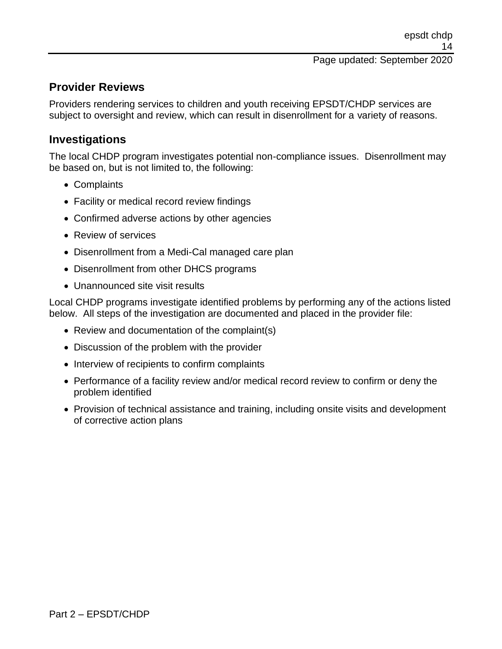## **Provider Reviews**

Providers rendering services to children and youth receiving EPSDT/CHDP services are subject to oversight and review, which can result in disenrollment for a variety of reasons.

### **Investigations**

The local CHDP program investigates potential non-compliance issues. Disenrollment may be based on, but is not limited to, the following:

- Complaints
- Facility or medical record review findings
- Confirmed adverse actions by other agencies
- Review of services
- Disenrollment from a Medi-Cal managed care plan
- Disenrollment from other DHCS programs
- Unannounced site visit results

Local CHDP programs investigate identified problems by performing any of the actions listed below. All steps of the investigation are documented and placed in the provider file:

- Review and documentation of the complaint(s)
- Discussion of the problem with the provider
- Interview of recipients to confirm complaints
- Performance of a facility review and/or medical record review to confirm or deny the problem identified
- Provision of technical assistance and training, including onsite visits and development of corrective action plans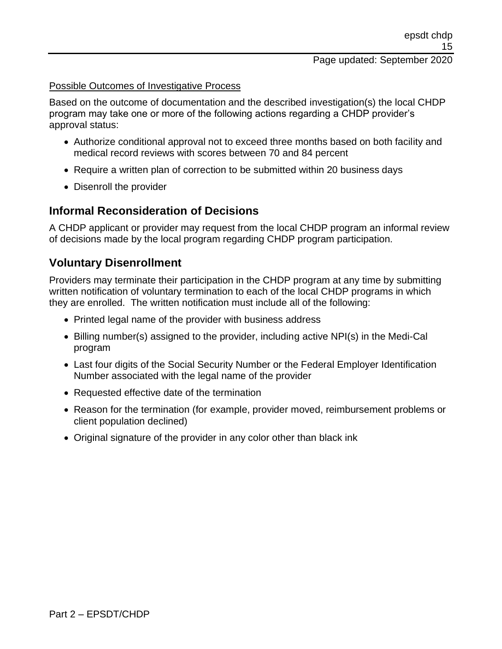#### Possible Outcomes of Investigative Process

Based on the outcome of documentation and the described investigation(s) the local CHDP program may take one or more of the following actions regarding a CHDP provider's approval status:

- Authorize conditional approval not to exceed three months based on both facility and medical record reviews with scores between 70 and 84 percent
- Require a written plan of correction to be submitted within 20 business days
- Disenroll the provider

### **Informal Reconsideration of Decisions**

A CHDP applicant or provider may request from the local CHDP program an informal review of decisions made by the local program regarding CHDP program participation.

### **Voluntary Disenrollment**

Providers may terminate their participation in the CHDP program at any time by submitting written notification of voluntary termination to each of the local CHDP programs in which they are enrolled. The written notification must include all of the following:

- Printed legal name of the provider with business address
- Billing number(s) assigned to the provider, including active NPI(s) in the Medi-Cal program
- Last four digits of the Social Security Number or the Federal Employer Identification Number associated with the legal name of the provider
- Requested effective date of the termination
- Reason for the termination (for example, provider moved, reimbursement problems or client population declined)
- Original signature of the provider in any color other than black ink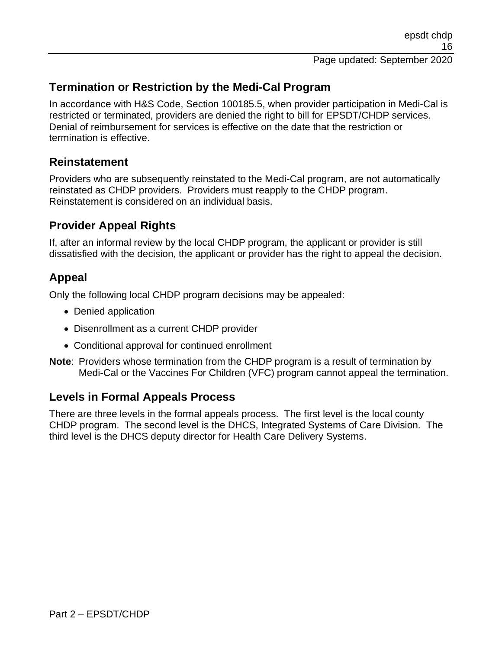## **Termination or Restriction by the Medi-Cal Program**

In accordance with H&S Code, Section 100185.5, when provider participation in Medi-Cal is restricted or terminated, providers are denied the right to bill for EPSDT/CHDP services. Denial of reimbursement for services is effective on the date that the restriction or termination is effective.

### **Reinstatement**

Providers who are subsequently reinstated to the Medi-Cal program, are not automatically reinstated as CHDP providers. Providers must reapply to the CHDP program. Reinstatement is considered on an individual basis.

## **Provider Appeal Rights**

If, after an informal review by the local CHDP program, the applicant or provider is still dissatisfied with the decision, the applicant or provider has the right to appeal the decision.

## **Appeal**

Only the following local CHDP program decisions may be appealed:

- Denied application
- Disenrollment as a current CHDP provider
- Conditional approval for continued enrollment
- **Note**: Providers whose termination from the CHDP program is a result of termination by Medi-Cal or the Vaccines For Children (VFC) program cannot appeal the termination.

### **Levels in Formal Appeals Process**

There are three levels in the formal appeals process. The first level is the local county CHDP program. The second level is the DHCS, Integrated Systems of Care Division. The third level is the DHCS deputy director for Health Care Delivery Systems.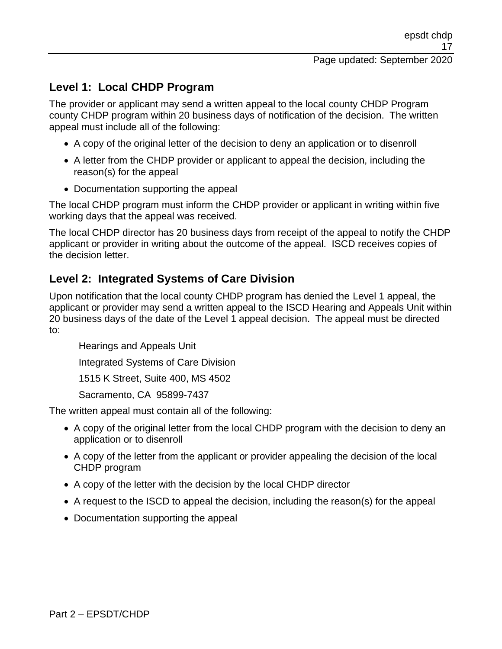## **Level 1: Local CHDP Program**

The provider or applicant may send a written appeal to the local county CHDP Program county CHDP program within 20 business days of notification of the decision. The written appeal must include all of the following:

- A copy of the original letter of the decision to deny an application or to disenroll
- A letter from the CHDP provider or applicant to appeal the decision, including the reason(s) for the appeal
- Documentation supporting the appeal

The local CHDP program must inform the CHDP provider or applicant in writing within five working days that the appeal was received.

The local CHDP director has 20 business days from receipt of the appeal to notify the CHDP applicant or provider in writing about the outcome of the appeal. ISCD receives copies of the decision letter.

## **Level 2: Integrated Systems of Care Division**

Upon notification that the local county CHDP program has denied the Level 1 appeal, the applicant or provider may send a written appeal to the ISCD Hearing and Appeals Unit within 20 business days of the date of the Level 1 appeal decision. The appeal must be directed to:

Hearings and Appeals Unit Integrated Systems of Care Division 1515 K Street, Suite 400, MS 4502 Sacramento, CA 95899-7437

The written appeal must contain all of the following:

- A copy of the original letter from the local CHDP program with the decision to deny an application or to disenroll
- A copy of the letter from the applicant or provider appealing the decision of the local CHDP program
- A copy of the letter with the decision by the local CHDP director
- A request to the ISCD to appeal the decision, including the reason(s) for the appeal
- Documentation supporting the appeal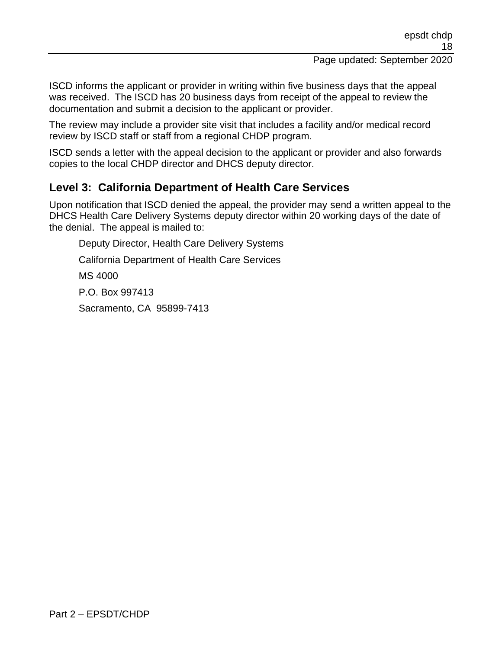ISCD informs the applicant or provider in writing within five business days that the appeal was received. The ISCD has 20 business days from receipt of the appeal to review the documentation and submit a decision to the applicant or provider.

The review may include a provider site visit that includes a facility and/or medical record review by ISCD staff or staff from a regional CHDP program.

ISCD sends a letter with the appeal decision to the applicant or provider and also forwards copies to the local CHDP director and DHCS deputy director.

### **Level 3: California Department of Health Care Services**

Upon notification that ISCD denied the appeal, the provider may send a written appeal to the DHCS Health Care Delivery Systems deputy director within 20 working days of the date of the denial. The appeal is mailed to:

Deputy Director, Health Care Delivery Systems California Department of Health Care Services MS 4000 P.O. Box 997413 Sacramento, CA 95899-7413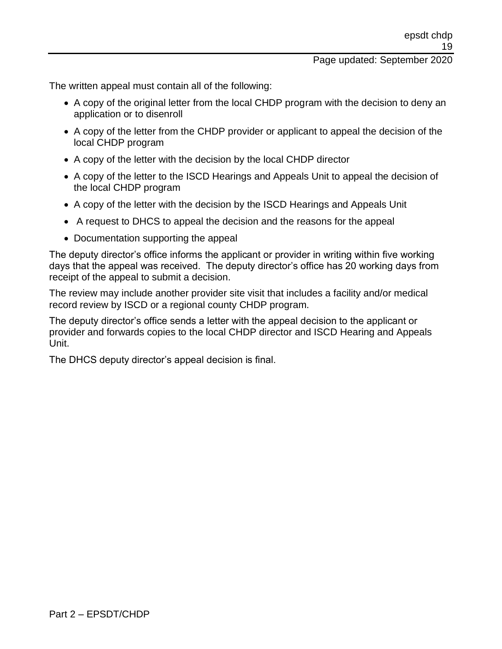The written appeal must contain all of the following:

- A copy of the original letter from the local CHDP program with the decision to deny an application or to disenroll
- A copy of the letter from the CHDP provider or applicant to appeal the decision of the local CHDP program
- A copy of the letter with the decision by the local CHDP director
- A copy of the letter to the ISCD Hearings and Appeals Unit to appeal the decision of the local CHDP program
- A copy of the letter with the decision by the ISCD Hearings and Appeals Unit
- A request to DHCS to appeal the decision and the reasons for the appeal
- Documentation supporting the appeal

The deputy director's office informs the applicant or provider in writing within five working days that the appeal was received. The deputy director's office has 20 working days from receipt of the appeal to submit a decision.

The review may include another provider site visit that includes a facility and/or medical record review by ISCD or a regional county CHDP program.

The deputy director's office sends a letter with the appeal decision to the applicant or provider and forwards copies to the local CHDP director and ISCD Hearing and Appeals Unit.

The DHCS deputy director's appeal decision is final.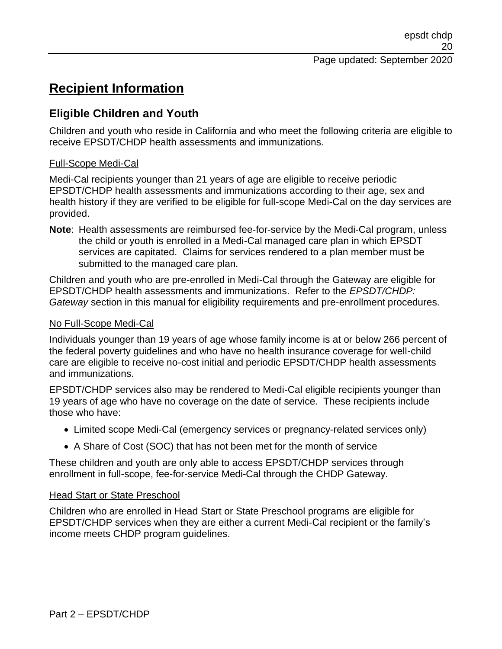# **Recipient Information**

## **Eligible Children and Youth**

Children and youth who reside in California and who meet the following criteria are eligible to receive EPSDT/CHDP health assessments and immunizations.

### Full-Scope Medi-Cal

Medi-Cal recipients younger than 21 years of age are eligible to receive periodic EPSDT/CHDP health assessments and immunizations according to their age, sex and health history if they are verified to be eligible for full-scope Medi-Cal on the day services are provided.

**Note**: Health assessments are reimbursed fee-for-service by the Medi-Cal program, unless the child or youth is enrolled in a Medi-Cal managed care plan in which EPSDT services are capitated. Claims for services rendered to a plan member must be submitted to the managed care plan.

Children and youth who are pre-enrolled in Medi-Cal through the Gateway are eligible for EPSDT/CHDP health assessments and immunizations. Refer to the *EPSDT/CHDP: Gateway* section in this manual for eligibility requirements and pre-enrollment procedures.

### No Full-Scope Medi-Cal

Individuals younger than 19 years of age whose family income is at or below 266 percent of the federal poverty guidelines and who have no health insurance coverage for well-child care are eligible to receive no-cost initial and periodic EPSDT/CHDP health assessments and immunizations.

EPSDT/CHDP services also may be rendered to Medi-Cal eligible recipients younger than 19 years of age who have no coverage on the date of service. These recipients include those who have:

- Limited scope Medi-Cal (emergency services or pregnancy-related services only)
- A Share of Cost (SOC) that has not been met for the month of service

These children and youth are only able to access EPSDT/CHDP services through enrollment in full-scope, fee-for-service Medi-Cal through the CHDP Gateway.

#### Head Start or State Preschool

Children who are enrolled in Head Start or State Preschool programs are eligible for EPSDT/CHDP services when they are either a current Medi-Cal recipient or the family's income meets CHDP program guidelines.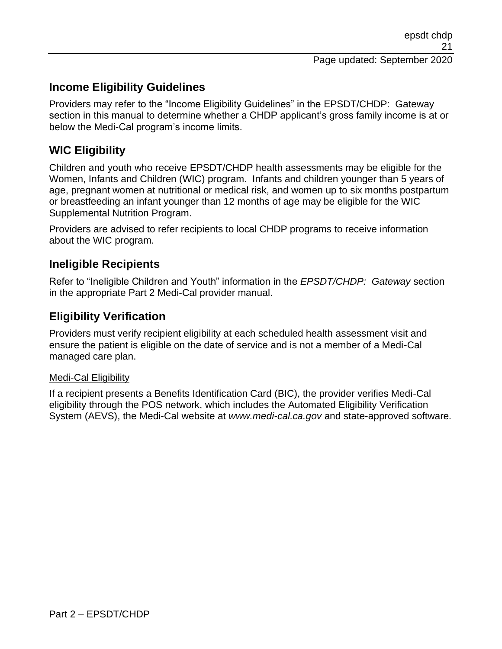### **Income Eligibility Guidelines**

Providers may refer to the "Income Eligibility Guidelines" in the EPSDT/CHDP: Gateway section in this manual to determine whether a CHDP applicant's gross family income is at or below the Medi-Cal program's income limits.

### **WIC Eligibility**

Children and youth who receive EPSDT/CHDP health assessments may be eligible for the Women, Infants and Children (WIC) program. Infants and children younger than 5 years of age, pregnant women at nutritional or medical risk, and women up to six months postpartum or breastfeeding an infant younger than 12 months of age may be eligible for the WIC Supplemental Nutrition Program.

Providers are advised to refer recipients to local CHDP programs to receive information about the WIC program.

### **Ineligible Recipients**

Refer to "Ineligible Children and Youth" information in the *EPSDT/CHDP: Gateway* section in the appropriate Part 2 Medi-Cal provider manual.

### **Eligibility Verification**

Providers must verify recipient eligibility at each scheduled health assessment visit and ensure the patient is eligible on the date of service and is not a member of a Medi-Cal managed care plan.

#### Medi-Cal Eligibility

If a recipient presents a Benefits Identification Card (BIC), the provider verifies Medi-Cal eligibility through the POS network, which includes the Automated Eligibility Verification System (AEVS), the Medi-Cal website at *www.medi-cal.ca.gov* and state-approved software.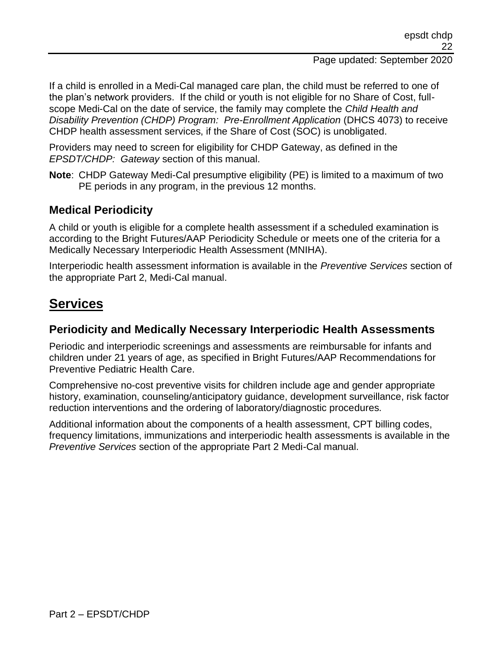## If a child is enrolled in a Medi-Cal managed care plan, the child must be referred to one of the plan's network providers. If the child or youth is not eligible for no Share of Cost, fullscope Medi-Cal on the date of service, the family may complete the *Child Health and*

*Disability Prevention (CHDP) Program: Pre-Enrollment Application* (DHCS 4073) to receive CHDP health assessment services, if the Share of Cost (SOC) is unobligated.

Providers may need to screen for eligibility for CHDP Gateway, as defined in the *EPSDT/CHDP: Gateway* section of this manual.

**Note**: CHDP Gateway Medi-Cal presumptive eligibility (PE) is limited to a maximum of two PE periods in any program, in the previous 12 months.

## **Medical Periodicity**

A child or youth is eligible for a complete health assessment if a scheduled examination is according to the Bright Futures/AAP Periodicity Schedule or meets one of the criteria for a Medically Necessary Interperiodic Health Assessment (MNIHA).

Interperiodic health assessment information is available in the *Preventive Services* section of the appropriate Part 2, Medi-Cal manual.

# **Services**

### **Periodicity and Medically Necessary Interperiodic Health Assessments**

Periodic and interperiodic screenings and assessments are reimbursable for infants and children under 21 years of age, as specified in Bright Futures/AAP Recommendations for Preventive Pediatric Health Care.

Comprehensive no-cost preventive visits for children include age and gender appropriate history, examination, counseling/anticipatory guidance, development surveillance, risk factor reduction interventions and the ordering of laboratory/diagnostic procedures.

Additional information about the components of a health assessment, CPT billing codes, frequency limitations, immunizations and interperiodic health assessments is available in the *Preventive Services* section of the appropriate Part 2 Medi-Cal manual.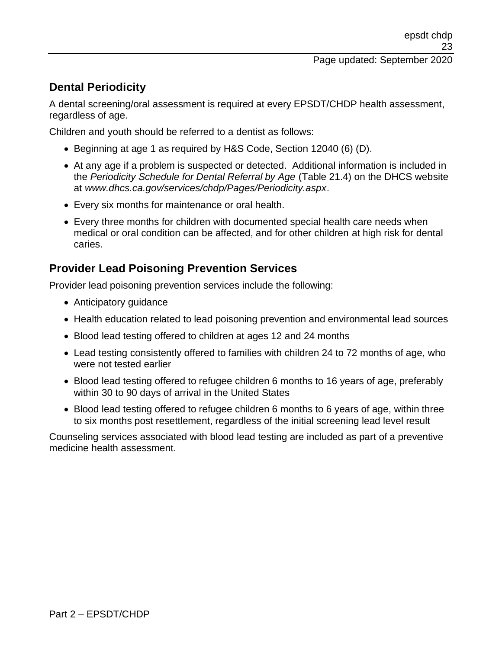## **Dental Periodicity**

A dental screening/oral assessment is required at every EPSDT/CHDP health assessment, regardless of age.

Children and youth should be referred to a dentist as follows:

- Beginning at age 1 as required by H&S Code, Section 12040 (6) (D).
- At any age if a problem is suspected or detected. Additional information is included in the *Periodicity Schedule for Dental Referral by Age* (Table 21.4) on the DHCS website at *www.dhcs.ca.gov/services/chdp/Pages/Periodicity.aspx*.
- Every six months for maintenance or oral health.
- Every three months for children with documented special health care needs when medical or oral condition can be affected, and for other children at high risk for dental caries.

### **Provider Lead Poisoning Prevention Services**

Provider lead poisoning prevention services include the following:

- Anticipatory quidance
- Health education related to lead poisoning prevention and environmental lead sources
- Blood lead testing offered to children at ages 12 and 24 months
- Lead testing consistently offered to families with children 24 to 72 months of age, who were not tested earlier
- Blood lead testing offered to refugee children 6 months to 16 years of age, preferably within 30 to 90 days of arrival in the United States
- Blood lead testing offered to refugee children 6 months to 6 years of age, within three to six months post resettlement, regardless of the initial screening lead level result

Counseling services associated with blood lead testing are included as part of a preventive medicine health assessment.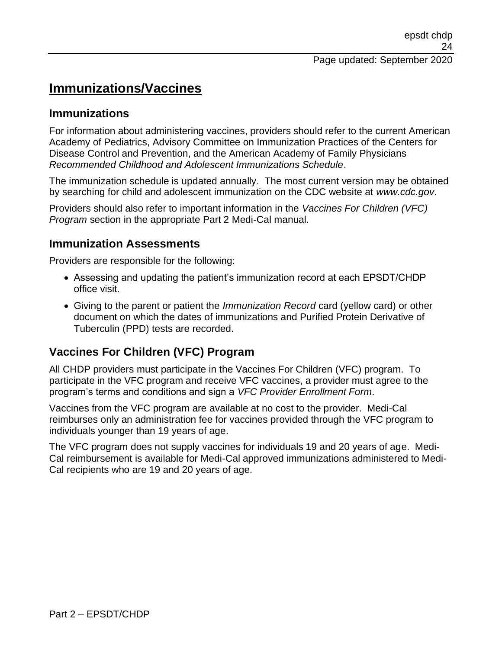# **Immunizations/Vaccines**

### **Immunizations**

For information about administering vaccines, providers should refer to the current American Academy of Pediatrics, Advisory Committee on Immunization Practices of the Centers for Disease Control and Prevention, and the American Academy of Family Physicians *Recommended Childhood and Adolescent Immunizations Schedule*.

The immunization schedule is updated annually. The most current version may be obtained by searching for child and adolescent immunization on the CDC website at *www.cdc.gov*.

Providers should also refer to important information in the *Vaccines For Children (VFC) Program* section in the appropriate Part 2 Medi-Cal manual.

### **Immunization Assessments**

Providers are responsible for the following:

- Assessing and updating the patient's immunization record at each EPSDT/CHDP office visit.
- Giving to the parent or patient the *Immunization Record* card (yellow card) or other document on which the dates of immunizations and Purified Protein Derivative of Tuberculin (PPD) tests are recorded.

## **Vaccines For Children (VFC) Program**

All CHDP providers must participate in the Vaccines For Children (VFC) program. To participate in the VFC program and receive VFC vaccines, a provider must agree to the program's terms and conditions and sign a *VFC Provider Enrollment Form*.

Vaccines from the VFC program are available at no cost to the provider. Medi-Cal reimburses only an administration fee for vaccines provided through the VFC program to individuals younger than 19 years of age.

The VFC program does not supply vaccines for individuals 19 and 20 years of age. Medi-Cal reimbursement is available for Medi-Cal approved immunizations administered to Medi-Cal recipients who are 19 and 20 years of age.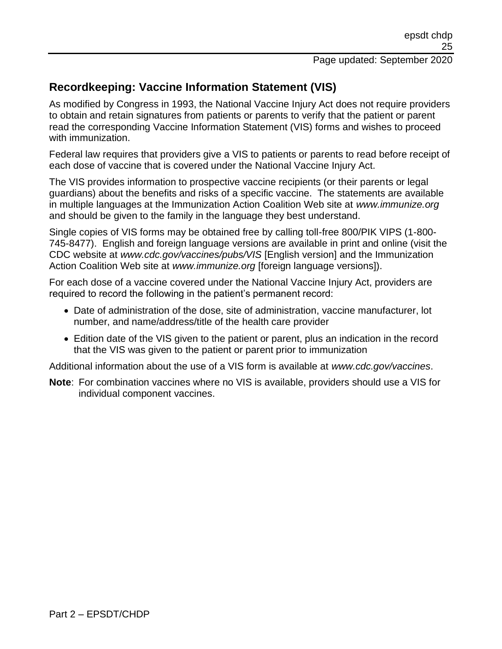## **Recordkeeping: Vaccine Information Statement (VIS)**

As modified by Congress in 1993, the National Vaccine Injury Act does not require providers to obtain and retain signatures from patients or parents to verify that the patient or parent read the corresponding Vaccine Information Statement (VIS) forms and wishes to proceed with immunization.

Federal law requires that providers give a VIS to patients or parents to read before receipt of each dose of vaccine that is covered under the National Vaccine Injury Act.

The VIS provides information to prospective vaccine recipients (or their parents or legal guardians) about the benefits and risks of a specific vaccine. The statements are available in multiple languages at the Immunization Action Coalition Web site at *www.immunize.org* and should be given to the family in the language they best understand.

Single copies of VIS forms may be obtained free by calling toll-free 800/PIK VIPS (1-800- 745-8477). English and foreign language versions are available in print and online (visit the CDC website at *www.cdc.gov/vaccines/pubs/VIS* [English version] and the Immunization Action Coalition Web site at *www.immunize.org* [foreign language versions]).

For each dose of a vaccine covered under the National Vaccine Injury Act, providers are required to record the following in the patient's permanent record:

- Date of administration of the dose, site of administration, vaccine manufacturer, lot number, and name/address/title of the health care provider
- Edition date of the VIS given to the patient or parent, plus an indication in the record that the VIS was given to the patient or parent prior to immunization

Additional information about the use of a VIS form is available at *www.cdc.gov/vaccines*.

**Note**: For combination vaccines where no VIS is available, providers should use a VIS for individual component vaccines.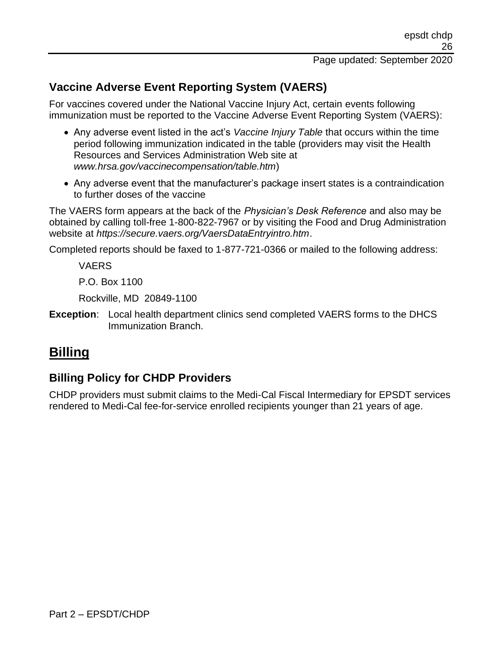## **Vaccine Adverse Event Reporting System (VAERS)**

For vaccines covered under the National Vaccine Injury Act, certain events following immunization must be reported to the Vaccine Adverse Event Reporting System (VAERS):

- Any adverse event listed in the act's *Vaccine Injury Table* that occurs within the time period following immunization indicated in the table (providers may visit the Health Resources and Services Administration Web site at *www.hrsa.gov/vaccinecompensation/table.htm*)
- Any adverse event that the manufacturer's package insert states is a contraindication to further doses of the vaccine

The VAERS form appears at the back of the *Physician's Desk Reference* and also may be obtained by calling toll-free 1-800-822-7967 or by visiting the Food and Drug Administration website at *https://secure.vaers.org/VaersDataEntryintro.htm*.

Completed reports should be faxed to 1-877-721-0366 or mailed to the following address:

VAERS

P.O. Box 1100

Rockville, MD 20849-1100

**Exception**: Local health department clinics send completed VAERS forms to the DHCS Immunization Branch.

# **Billing**

## **Billing Policy for CHDP Providers**

CHDP providers must submit claims to the Medi-Cal Fiscal Intermediary for EPSDT services rendered to Medi-Cal fee-for-service enrolled recipients younger than 21 years of age.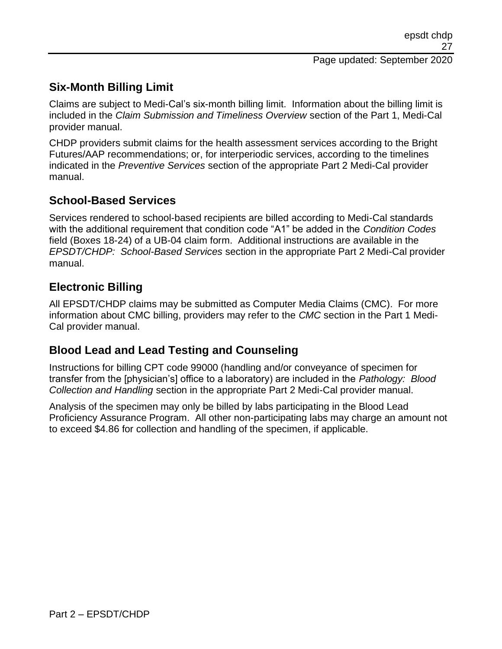# **Six-Month Billing Limit**

Claims are subject to Medi-Cal's six-month billing limit. Information about the billing limit is included in the *Claim Submission and Timeliness Overview* section of the Part 1, Medi-Cal provider manual.

CHDP providers submit claims for the health assessment services according to the Bright Futures/AAP recommendations; or, for interperiodic services, according to the timelines indicated in the *Preventive Services* section of the appropriate Part 2 Medi-Cal provider manual.

## **School-Based Services**

Services rendered to school-based recipients are billed according to Medi-Cal standards with the additional requirement that condition code "A1" be added in the *Condition Codes* field (Boxes 18-24) of a UB-04 claim form. Additional instructions are available in the *EPSDT/CHDP: School-Based Services* section in the appropriate Part 2 Medi-Cal provider manual.

## **Electronic Billing**

All EPSDT/CHDP claims may be submitted as Computer Media Claims (CMC). For more information about CMC billing, providers may refer to the *CMC* section in the Part 1 Medi-Cal provider manual.

## **Blood Lead and Lead Testing and Counseling**

Instructions for billing CPT code 99000 (handling and/or conveyance of specimen for transfer from the [physician's] office to a laboratory) are included in the *Pathology: Blood Collection and Handling* section in the appropriate Part 2 Medi-Cal provider manual.

Analysis of the specimen may only be billed by labs participating in the Blood Lead Proficiency Assurance Program. All other non-participating labs may charge an amount not to exceed \$4.86 for collection and handling of the specimen, if applicable.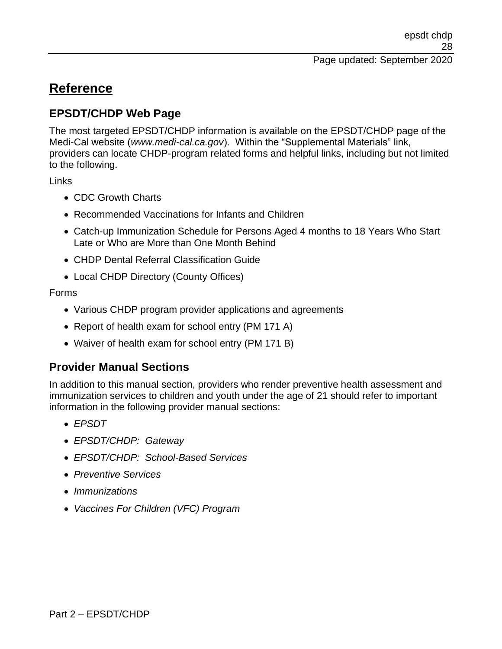# **Reference**

## **EPSDT/CHDP Web Page**

The most targeted EPSDT/CHDP information is available on the EPSDT/CHDP page of the Medi-Cal website (*www.medi-cal.ca.gov*). Within the "Supplemental Materials" link, providers can locate CHDP-program related forms and helpful links, including but not limited to the following.

Links

- CDC Growth Charts
- Recommended Vaccinations for Infants and Children
- Catch-up Immunization Schedule for Persons Aged 4 months to 18 Years Who Start Late or Who are More than One Month Behind
- CHDP Dental Referral Classification Guide
- Local CHDP Directory (County Offices)

Forms

- Various CHDP program provider applications and agreements
- Report of health exam for school entry (PM 171 A)
- Waiver of health exam for school entry (PM 171 B)

## **Provider Manual Sections**

In addition to this manual section, providers who render preventive health assessment and immunization services to children and youth under the age of 21 should refer to important information in the following provider manual sections:

- *EPSDT*
- *EPSDT/CHDP: Gateway*
- *EPSDT/CHDP: School-Based Services*
- *Preventive Services*
- *Immunizations*
- *Vaccines For Children (VFC) Program*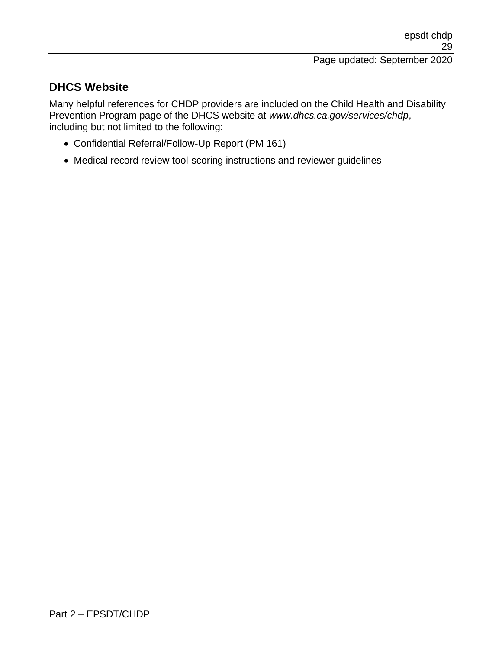## **DHCS Website**

Many helpful references for CHDP providers are included on the Child Health and Disability Prevention Program page of the DHCS website at *www.dhcs.ca.gov/services/chdp*, including but not limited to the following:

- Confidential Referral/Follow-Up Report (PM 161)
- Medical record review tool-scoring instructions and reviewer guidelines